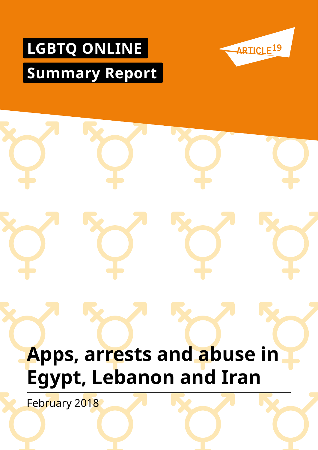# **LGBTQ ONLINE Summary Report**



# **Apps, arrests and abuse in Egypt, Lebanon and Iran**  February 2018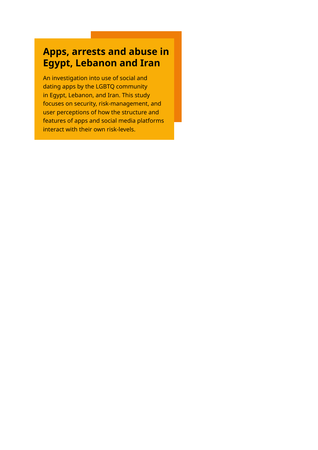# **Apps, arrests and abuse in Egypt, Lebanon and Iran**

An investigation into use of social and dating apps by the LGBTQ community in Egypt, Lebanon, and Iran. This study focuses on security, risk-management, and user perceptions of how the structure and features of apps and social media platforms interact with their own risk-levels.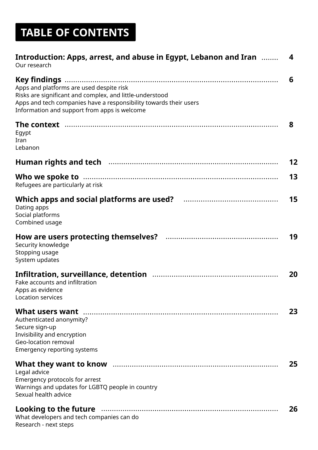# **TABLE OF CONTENTS**

| Introduction: Apps, arrest, and abuse in Egypt, Lebanon and Iran<br>Our research                                                                                                                                          | 4  |
|---------------------------------------------------------------------------------------------------------------------------------------------------------------------------------------------------------------------------|----|
| Apps and platforms are used despite risk<br>Risks are significant and complex, and little-understood<br>Apps and tech companies have a responsibility towards their users<br>Information and support from apps is welcome | 6  |
| The context …………………………………………………………………………………………<br>Egypt<br>Iran<br>Lebanon                                                                                                                                                | 8  |
|                                                                                                                                                                                                                           | 12 |
| Refugees are particularly at risk                                                                                                                                                                                         | 13 |
| Dating apps<br>Social platforms<br>Combined usage                                                                                                                                                                         | 15 |
| Security knowledge<br>Stopping usage<br>System updates                                                                                                                                                                    | 19 |
| Fake accounts and infiltration<br>Apps as evidence<br>Location services                                                                                                                                                   | 20 |
| Authenticated anonymity?<br>Secure sign-up<br>Invisibility and encryption<br><b>Geo-location removal</b><br><b>Emergency reporting systems</b>                                                                            | 23 |
| Legal advice<br>Emergency protocols for arrest<br>Warnings and updates for LGBTQ people in country<br>Sexual health advice                                                                                                | 25 |
| Looking to the future manufacture contracts and the future manufacture contracts and the future<br>What developers and tech companies can do<br>Research - next steps                                                     | 26 |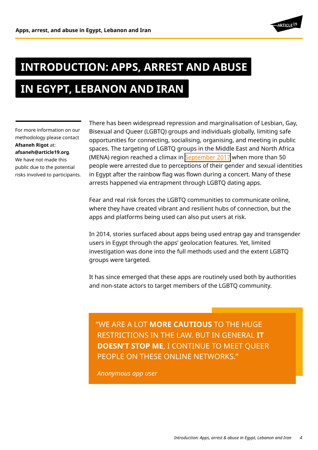

# **INTRODUCTION: APPS, ARREST AND ABUSE**

# **IN EGYPT, LEBANON AND IRAN**

For more information on our methodology please contact **Afsaneh Rigot** at: **afsaneh@article19.org**. We have not made this public due to the potential risks involved to participants. There has been widespread repression and marginalisation of Lesbian, Gay, Bisexual and Queer (LGBTQ) groups and individuals globally, limiting safe opportunities for connecting, socialising, organising, and meeting in public spaces. The targeting of LGBTQ groups in the Middle East and North Africa (MENA) region reached a climax in [September 2017](https://www.article19.org/resources/egypt-crackdown-on-lgbtqi-people-and-their-supporters-must-stop/) when more than 50 people were arrested due to perceptions of their gender and sexual identities in Egypt after the rainbow flag was flown during a concert. Many of these arrests happened via entrapment through LGBTQ dating apps.

Fear and real risk forces the LGBTQ communities to communicate online, where they have created vibrant and resilient hubs of connection, but the apps and platforms being used can also put users at risk.

In 2014, stories surfaced about apps being used entrap gay and transgender users in Egypt through the apps' geolocation features. Yet, limited investigation was done into the full methods used and the extent LGBTQ groups were targeted.

It has since emerged that these apps are routinely used both by authorities and non-state actors to target members of the LGBTQ community.

"WE ARE A LOT **MORE CAUTIOUS** TO THE HUGE RESTRICTIONS IN THE LAW. BUT IN GENERAL **IT DOESN'T STOP ME**, I CONTINUE TO MEET QUEER PEOPLE ON THESE ONLINE NETWORKS."

*Anonymous app user*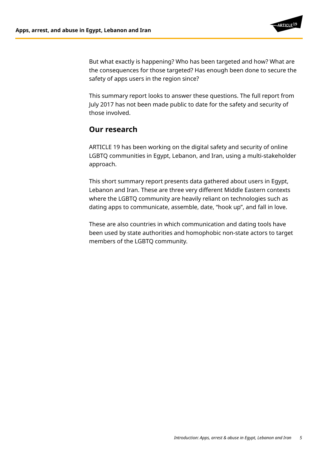

But what exactly is happening? Who has been targeted and how? What are the consequences for those targeted? Has enough been done to secure the safety of apps users in the region since?

This summary report looks to answer these questions. The full report from July 2017 has not been made public to date for the safety and security of those involved.

## **Our research**

ARTICLE 19 has been working on the digital safety and security of online LGBTQ communities in Egypt, Lebanon, and Iran, using a multi-stakeholder approach.

This short summary report presents data gathered about users in Egypt, Lebanon and Iran. These are three very different Middle Eastern contexts where the LGBTQ community are heavily reliant on technologies such as dating apps to communicate, assemble, date, "hook up", and fall in love.

These are also countries in which communication and dating tools have been used by state authorities and homophobic non-state actors to target members of the LGBTQ community.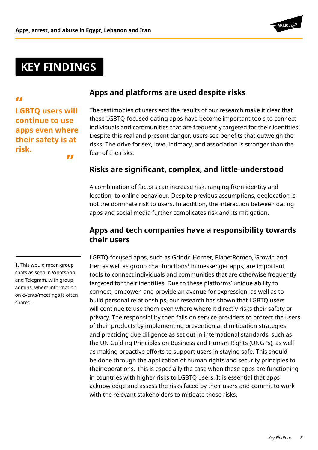

# **KEY FINDINGS**

*LE*<br>LGBTQ users will **continue to use apps even where their safety is at risk. "**

# **Apps and platforms are used despite risks**

The testimonies of users and the results of our research make it clear that these LGBTQ-focused dating apps have become important tools to connect individuals and communities that are frequently targeted for their identities. Despite this real and present danger, users see benefits that outweigh the risks. The drive for sex, love, intimacy, and association is stronger than the fear of the risks.

## **Risks are significant, complex, and little-understood**

A combination of factors can increase risk, ranging from identity and location, to online behaviour. Despite previous assumptions, geolocation is not the dominate risk to users. In addition, the interaction between dating apps and social media further complicates risk and its mitigation.

## **Apps and tech companies have a responsibility towards their users**

# 1. This would mean group chats as seen in WhatsApp and Telegram, with group admins, where information on events/meetings is often shared.

LGBTQ-focused apps, such as Grindr, Hornet, PlanetRomeo, Growlr, and Her, as well as group chat functions<sup>1</sup> in messenger apps, are important tools to connect individuals and communities that are otherwise frequently targeted for their identities. Due to these platforms' unique ability to connect, empower, and provide an avenue for expression, as well as to build personal relationships, our research has shown that LGBTQ users will continue to use them even where where it directly risks their safety or privacy. The responsibility then falls on service providers to protect the users of their products by implementing prevention and mitigation strategies and practicing due diligence as set out in international standards, such as the UN Guiding Principles on Business and Human Rights (UNGPs), as well as making proactive efforts to support users in staying safe. This should be done through the application of human rights and security principles to their operations. This is especially the case when these apps are functioning in countries with higher risks to LGBTQ users. It is essential that apps acknowledge and assess the risks faced by their users and commit to work with the relevant stakeholders to mitigate those risks.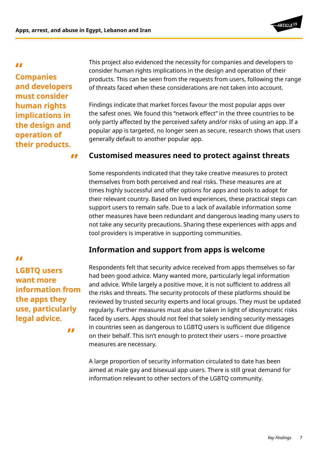

*LL*<br>Companies **and developers must consider human rights implications in the design and operation of their products.**

This project also evidenced the necessity for companies and developers to consider human rights implications in the design and operation of their products. This can be seen from the requests from users, following the range of threats faced when these considerations are not taken into account.

Findings indicate that market forces favour the most popular apps over the safest ones. We found this "network effect" in the three countries to be only partly affected by the perceived safety and/or risks of using an app. If a popular app is targeted, no longer seen as secure, research shows that users generally default to another popular app.

#### **" Customised measures need to protect against threats**

Some respondents indicated that they take creative measures to protect themselves from both perceived and real risks. These measures are at times highly successful and offer options for apps and tools to adopt for their relevant country. Based on lived experiences, these practical steps can support users to remain safe. Due to a lack of available information some other measures have been redundant and dangerous leading many users to not take any security precautions. Sharing these experiences with apps and tool providers is imperative in supporting communities.

# **Information and support from apps is welcome**

Respondents felt that security advice received from apps themselves so far had been good advice. Many wanted more, particularly legal information and advice. While largely a positive move, it is not sufficient to address all the risks and threats. The security protocols of these platforms should be reviewed by trusted security experts and local groups. They must be updated regularly. Further measures must also be taken in light of idiosyncratic risks faced by users. Apps should not feel that solely sending security messages in countries seen as dangerous to LGBTQ users is sufficient due diligence on their behalf. This isn't enough to protect their users – more proactive measures are necessary.

A large proportion of security information circulated to date has been aimed at male gay and bisexual app users. There is still great demand for information relevant to other sectors of the LGBTQ community.

*LE*<br>LGBTQ users **want more information from the apps they use, particularly legal advice.**

**"**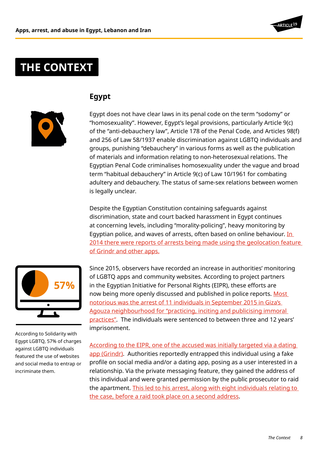

# **THE CONTEXT**

# **Egypt**



Egypt does not have clear laws in its penal code on the term "sodomy" or "homosexuality". However, Egypt's legal provisions, particularly Article 9(c) of the "anti-debauchery law", Article 178 of the Penal Code, and Articles 98(f) and 256 of Law 58/1937 enable discrimination against LGBTQ individuals and groups, punishing "debauchery" in various forms as well as the publication of materials and information relating to non-heterosexual relations. The Egyptian Penal Code criminalises homosexuality under the vague and broad term "habitual debauchery" in Article 9(c) of Law 10/1961 for combating adultery and debauchery. The status of same-sex relations between women is legally unclear.

Despite the Egyptian Constitution containing safeguards against discrimination, state and court backed harassment in Egypt continues at concerning levels, including "morality-policing", heavy monitoring by Egyptian police, and waves of arrests, often based on online behaviour. In [2014 there were reports of arrests being made using the geolocation feature](http://www.independent.co.uk/news/world/africa/egypts-police-using-social-media-and-apps-like-grindr-to-trap-gay-people-9738515.html)  [of Grindr and other apps.](http://www.independent.co.uk/news/world/africa/egypts-police-using-social-media-and-apps-like-grindr-to-trap-gay-people-9738515.html)



According to Solidarity with Egypt LGBTQ, 57% of charges against LGBTQ individuals featured the use of websites and social media to entrap or incriminate them.

Since 2015, observers have recorded an increase in authorities' monitoring of LGBTQ apps and community websites. According to project partners in the Egyptian Initiative for Personal Rights (EIPR), these efforts are now being more openly discussed and published in police reports. Most [notorious was the arrest of 11 individuals in September 2015 in Giza's](http://www.elwatannews.com/news/details/1126646)  [Agouza neighbourhood for "practicing, inciting and publicising immoral](http://www.elwatannews.com/news/details/1126646)  [practices".](http://www.elwatannews.com/news/details/1126646) The individuals were sentenced to between three and 12 years' imprisonment.

[According to the EIPR, one of the accused was initially targeted via a dating](http://www.madamasr.com/en/2016/04/29/feature/politics/11-sentenced-to-3-12-years-in-prison-for-homosexuality/)  [app \(Grindr\)](http://www.madamasr.com/en/2016/04/29/feature/politics/11-sentenced-to-3-12-years-in-prison-for-homosexuality/). Authorities reportedly entrapped this individual using a fake profile on social media and/or a dating app, posing as a user interested in a relationship. Via the private messaging feature, they gained the address of this individual and were granted permission by the public prosecutor to raid the apartment. [This led to his arrest, along with eight individuals relating to](http://www.madamasr.com/en/2016/04/29/feature/politics/11-sentenced-to-3-12-years-in-prison-for-homosexuality/)  [the case, before a raid took place on a second address.](http://www.madamasr.com/en/2016/04/29/feature/politics/11-sentenced-to-3-12-years-in-prison-for-homosexuality/)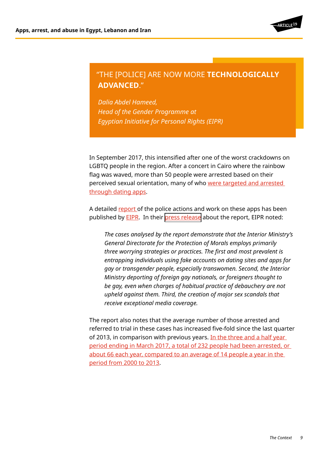

# "THE [POLICE] ARE NOW MORE **TECHNOLOGICALLY ADVANCED**."

*Dalia Abdel Hameed, Head of the Gender Programme at Egyptian Initiative for Personal Rights (EIPR)*

In September 2017, this intensified after one of the worst crackdowns on LGBTQ people in the region. After a concert in Cairo where the rainbow flag was waved, more than 50 people were arrested based on their perceived sexual orientation, many of who were targeted and arrested [through dating apps](https://www.article19.org/resources/egypt-crackdown-on-lgbtqi-people-and-their-supporters-must-stop/).

A detailed [report](https://eipr.org/sites/default/files/reports/pdf/the_trap-en.pdf) of the police actions and work on these apps has been published by **EIPR**. In their press release about the report, [EIPR](https://eipr.org/sites/default/files/reports/pdf/the_trap-en.pdf) noted:

*[The cases analysed by the report demonstrate that the Interior Ministry's](https://www.eipr.org/en/press/2017/11/trap-punishing-sexual-difference-egypt)  [General Directorate for the Protection of Morals employs primarily](https://www.eipr.org/en/press/2017/11/trap-punishing-sexual-difference-egypt)  [three worrying strategies or practices. The first and most prevalent is](https://www.eipr.org/en/press/2017/11/trap-punishing-sexual-difference-egypt)  [entrapping individuals using fake accounts on dating sites and apps for](https://www.eipr.org/en/press/2017/11/trap-punishing-sexual-difference-egypt)  [gay or transgender people, especially transwomen. Second, the Interior](https://www.eipr.org/en/press/2017/11/trap-punishing-sexual-difference-egypt)  [Ministry deporting of foreign gay nationals, or foreigners thought to](https://www.eipr.org/en/press/2017/11/trap-punishing-sexual-difference-egypt)  [be gay, even when charges of habitual practice of debauchery are not](https://www.eipr.org/en/press/2017/11/trap-punishing-sexual-difference-egypt)  [upheld against them. Third, the creation of major sex scandals that](https://www.eipr.org/en/press/2017/11/trap-punishing-sexual-difference-egypt)  [receive exceptional media coverage.](https://www.eipr.org/en/press/2017/11/trap-punishing-sexual-difference-egypt)*

The report also notes that the average number of those arrested and referred to trial in these cases has increased five-fold since the last quarter of 2013, in comparison with previous years. [In the three and a half year](https://www.eipr.org/en/press/2017/11/trap-punishing-sexual-difference-egypt)  [period ending in March 2017, a total of 232 people had been arrested, or](https://www.eipr.org/en/press/2017/11/trap-punishing-sexual-difference-egypt)  [about 66 each year, compared to an average of 14 people a year in the](https://www.eipr.org/en/press/2017/11/trap-punishing-sexual-difference-egypt)  [period from 2000 to 2013](https://www.eipr.org/en/press/2017/11/trap-punishing-sexual-difference-egypt).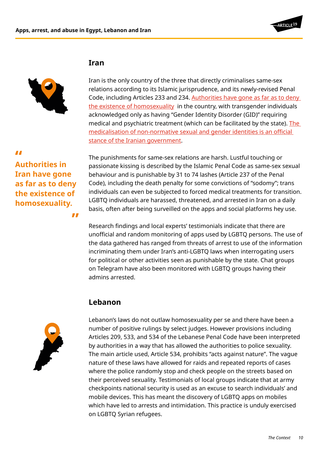

#### **Iran**



Iran is the only country of the three that directly criminalises same-sex relations according to its Islamic jurisprudence, and its newly-revised Penal Code, including Articles 233 and 234. [Authorities have gone as far as to deny](https://www.theguardian.com/commentisfree/2007/sep/25/nohomosexualityhere)  [the existence of homosexuality](https://www.theguardian.com/commentisfree/2007/sep/25/nohomosexualityhere) in the country, with transgender individuals acknowledged only as having "Gender Identity Disorder (GID)" requiring medical and psychiatric treatment (which can be facilitated by the state). [The](http://justice4iran.org/issues/lgbt-rights-issues/medicalization-of-sexual-orientation-and-gender-identity/)  [medicalisation of non-normative sexual and gender identities is an official](http://justice4iran.org/issues/lgbt-rights-issues/medicalization-of-sexual-orientation-and-gender-identity/)  [stance of the Iranian government](http://justice4iran.org/issues/lgbt-rights-issues/medicalization-of-sexual-orientation-and-gender-identity/).

**Authorities in " Iran have gone as far as to deny the existence of homosexuality.**

**"**

The punishments for same-sex relations are harsh. Lustful touching or passionate kissing is described by the Islamic Penal Code as same-sex sexual behaviour and is punishable by 31 to 74 lashes (Article 237 of the Penal Code), including the death penalty for some convictions of "sodomy"; trans individuals can even be subjected to forced medical treatments for transition. LGBTQ individuals are harassed, threatened, and arrested in Iran on a daily basis, often after being surveilled on the apps and social platforms hey use.

Research findings and local experts' testimonials indicate that there are unofficial and random monitoring of apps used by LGBTQ persons. The use of the data gathered has ranged from threats of arrest to use of the information incriminating them under Iran's anti-LGBTQ laws when interrogating users for political or other activities seen as punishable by the state. Chat groups on Telegram have also been monitored with LGBTQ groups having their admins arrested.

# **Lebanon**



Lebanon's laws do not outlaw homosexuality per se and there have been a number of positive rulings by select judges. However provisions including Articles 209, 533, and 534 of the Lebanese Penal Code have been interpreted by authorities in a way that has allowed the authorities to police sexuality. The main article used, Article 534, prohibits "acts against nature". The vague nature of these laws have allowed for raids and repeated reports of cases where the police randomly stop and check people on the streets based on their perceived sexuality. Testimonials of local groups indicate that at army checkpoints national security is used as an excuse to search individuals' and mobile devices. This has meant the discovery of LGBTQ apps on mobiles which have led to arrests and intimidation. This practice is unduly exercised on LGBTQ Syrian refugees.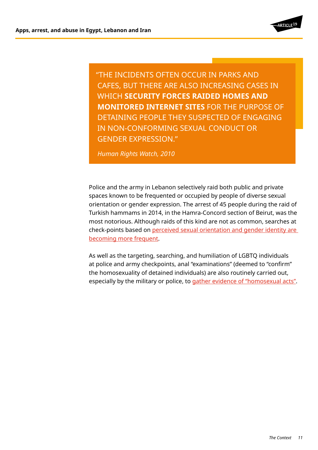

"THE INCIDENTS OFTEN OCCUR IN PARKS AND CAFES, BUT THERE ARE ALSO INCREASING CASES IN WHICH **SECURITY FORCES RAIDED HOMES AND MONITORED INTERNET SITES** FOR THE PURPOSE OF DETAINING PEOPLE THEY SUSPECTED OF ENGAGING IN NON-CONFORMING SEXUAL CONDUCT OR GENDER EXPRESSION."

*Human Rights Watch, 2010*

Police and the army in Lebanon selectively raid both public and private spaces known to be frequented or occupied by people of diverse sexual orientation or gender expression. The arrest of 45 people during the raid of Turkish hammams in 2014, in the Hamra-Concord section of Beirut, was the most notorious. Although raids of this kind are not as common, searches at check-points based on perceived sexual orientation and gender identity are [becoming more frequent](http://www.slate.com/blogs/outward/2016/05/31/lebanon_still_uses_colonial_era_laws_to_persecute_lbgtq_citizens.html).

As well as the targeting, searching, and humiliation of LGBTQ individuals at police and army checkpoints, anal "examinations" (deemed to "confirm" the homosexuality of detained individuals) are also routinely carried out, especially by the military or police, to [gather evidence of "homosexual acts"](https://www.hrw.org/news/2017/03/24/submission-un-committee-against-tortures-pre-sessional-review-lebanon).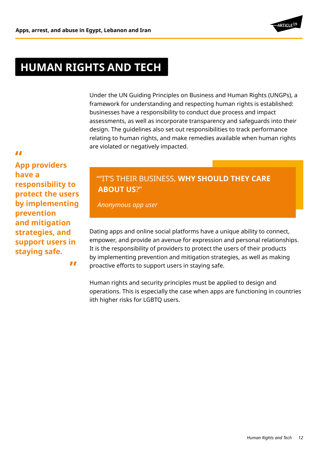

# **HUMAN RIGHTS AND TECH**

Under the UN Guiding Principles on Business and Human Rights (UNGPs), a framework for understanding and respecting human rights is established: businesses have a responsibility to conduct due process and impact assessments, as well as incorporate transparency and safeguards into their design. The guidelines also set out responsibilities to track performance relating to human rights, and make remedies available when human rights are violated or negatively impacted.

*LL*<br>App providers **have a responsibility to protect the users by implementing prevention and mitigation strategies, and support users in staying safe.**

**"**

# ""IT'S THEIR BUSINESS, **WHY SHOULD THEY CARE ABOUT US**?"

*Anonymous app user*

Dating apps and online social platforms have a unique ability to connect, empower, and provide an avenue for expression and personal relationships. It is the responsibility of providers to protect the users of their products by implementing prevention and mitigation strategies, as well as making proactive efforts to support users in staying safe.

Human rights and security principles must be applied to design and operations. This is especially the case when apps are functioning in countries iith higher risks for LGBTQ users.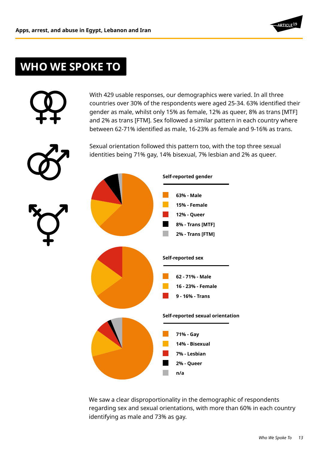

# **WHO WE SPOKE TO**

|  | With 429 usable responses, our demographics were varied. In all three<br>countries over 30% of the respondents were aged 25-34. 63% identified their<br>gender as male, whilst only 15% as female, 12% as queer, 8% as trans [MTF]<br>and 2% as trans [FTM]. Sex followed a similar pattern in each country where<br>between 62-71% identified as male, 16-23% as female and 9-16% as trans.<br>Sexual orientation followed this pattern too, with the top three sexual<br>identities being 71% gay, 14% bisexual, 7% lesbian and 2% as queer. |
|--|------------------------------------------------------------------------------------------------------------------------------------------------------------------------------------------------------------------------------------------------------------------------------------------------------------------------------------------------------------------------------------------------------------------------------------------------------------------------------------------------------------------------------------------------|
|  | Self-reported gender<br>63% - Male<br>15% - Female<br><b>12% - Queer</b><br>8% - Trans [MTF]<br>2% - Trans [FTM]<br>Self-reported sex<br>62 - 71% - Male<br>16 - 23% - Female<br>9 - 16% - Trans                                                                                                                                                                                                                                                                                                                                               |
|  | Self-reported sexual orientation<br>71% - Gay<br>14% - Bisexual<br>7% - Lesbian<br>2% - Queer<br>n/a                                                                                                                                                                                                                                                                                                                                                                                                                                           |

We saw a clear disproportionality in the demographic of respondents regarding sex and sexual orientations, with more than 60% in each country identifying as male and 73% as gay.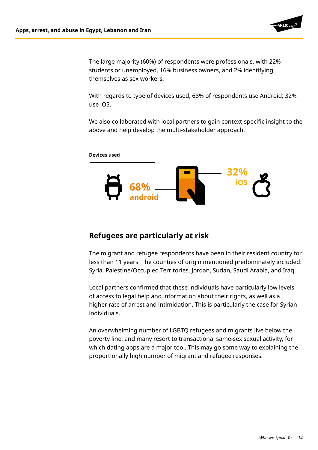

The large majority (60%) of respondents were professionals, with 22% students or unemployed, 16% business owners, and 2% identifying themselves as sex workers.

With regards to type of devices used, 68% of respondents use Android; 32% use iOS.

We also collaborated with local partners to gain context-specific insight to the above and help develop the multi-stakeholder approach.



## **Refugees are particularly at risk**

The migrant and refugee respondents have been in their resident country for less than 11 years. The counties of origin mentioned predominately included: Syria, Palestine/Occupied Territories, Jordan, Sudan, Saudi Arabia, and Iraq.

Local partners confirmed that these individuals have particularly low levels of access to legal help and information about their rights, as well as a higher rate of arrest and intimidation. This is particularly the case for Syrian individuals.

An overwhelming number of LGBTQ refugees and migrants live below the poverty line, and many resort to transactional same-sex sexual activity, for which dating apps are a major tool. This may go some way to explaining the proportionally high number of migrant and refugee responses.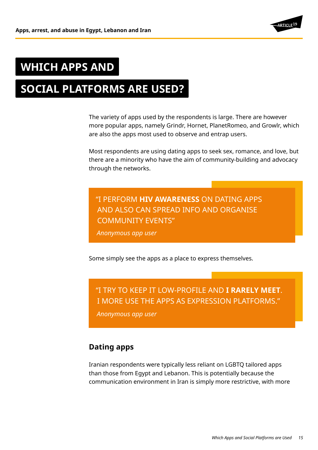

# **WHICH APPS AND**

# **SOCIAL PLATFORMS ARE USED?**

The variety of apps used by the respondents is large. There are however more popular apps, namely Grindr, Hornet, PlanetRomeo, and Growlr, which are also the apps most used to observe and entrap users.

Most respondents are using dating apps to seek sex, romance, and love, but there are a minority who have the aim of community-building and advocacy through the networks.

# "I PERFORM **HIV AWARENESS** ON DATING APPS AND ALSO CAN SPREAD INFO AND ORGANISE COMMUNITY EVENTS"

*Anonymous app user*

Some simply see the apps as a place to express themselves.

# "I TRY TO KEEP IT LOW-PROFILE AND **I RARELY MEET**. I MORE USE THE APPS AS EXPRESSION PLATFORMS."

*Anonymous app user*

## **Dating apps**

Iranian respondents were typically less reliant on LGBTQ tailored apps than those from Egypt and Lebanon. This is potentially because the communication environment in Iran is simply more restrictive, with more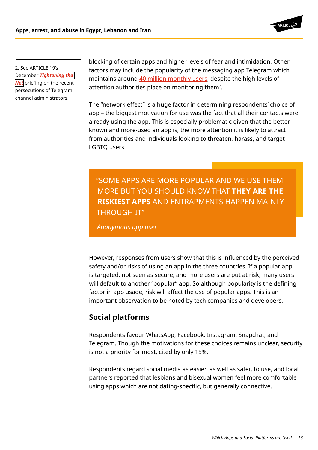

2. See ARTICLE 19's December *[Tightening the](https://www.article19.org/resources/tightening-net-online-openings-closings-iran/ )  [Net](https://www.article19.org/resources/tightening-net-online-openings-closings-iran/ )* briefing on the recent persecutions of Telegram channel administrators.

blocking of certain apps and higher levels of fear and intimidation. Other factors may include the popularity of the messaging app Telegram which maintains around [40 million monthly users](https://twitter.com/durov/status/854472773137256448), despite the high levels of attention authorities place on monitoring them2.

The "network effect" is a huge factor in determining respondents' choice of app – the biggest motivation for use was the fact that all their contacts were already using the app. This is especially problematic given that the betterknown and more-used an app is, the more attention it is likely to attract from authorities and individuals looking to threaten, harass, and target LGBTQ users.

"SOME APPS ARE MORE POPULAR AND WE USE THEM MORE BUT YOU SHOULD KNOW THAT **THEY ARE THE RISKIEST APPS** AND ENTRAPMENTS HAPPEN MAINLY THROUGH IT"

*Anonymous app user*

However, responses from users show that this is influenced by the perceived safety and/or risks of using an app in the three countries. If a popular app is targeted, not seen as secure, and more users are put at risk, many users will default to another "popular" app. So although popularity is the defining factor in app usage, risk will affect the use of popular apps. This is an important observation to be noted by tech companies and developers.

# **Social platforms**

Respondents favour WhatsApp, Facebook, Instagram, Snapchat, and Telegram. Though the motivations for these choices remains unclear, security is not a priority for most, cited by only 15%.

Respondents regard social media as easier, as well as safer, to use, and local partners reported that lesbians and bisexual women feel more comfortable using apps which are not dating-specific, but generally connective.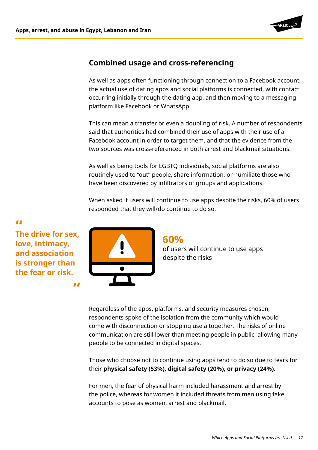

## **Combined usage and cross-referencing**

As well as apps often functioning through connection to a Facebook account, the actual use of dating apps and social platforms is connected, with contact occurring initially through the dating app, and then moving to a messaging platform like Facebook or WhatsApp.

This can mean a transfer or even a doubling of risk. A number of respondents said that authorities had combined their use of apps with their use of a Facebook account in order to target them, and that the evidence from the two sources was cross-referenced in both arrest and blackmail situations.

As well as being tools for LGBTQ individuals, social platforms are also routinely used to "out" people, share information, or humiliate those who have been discovered by infiltrators of groups and applications.

When asked if users will continue to use apps despite the risks, 60% of users responded that they will/do continue to do so.

**The drive for sex, " love, intimacy, and association is stronger than the fear or risk.**

**"**



#### **60%** of users will continue to use apps despite the risks

Regardless of the apps, platforms, and security measures chosen, respondents spoke of the isolation from the community which would come with disconnection or stopping use altogether. The risks of online communication are still lower than meeting people in public, allowing many people to be connected in digital spaces.

Those who choose not to continue using apps tend to do so due to fears for their **physical safety (53%), digital safety (20%), or privacy (24%)**.

For men, the fear of physical harm included harassment and arrest by the police, whereas for women it included threats from men using fake accounts to pose as women, arrest and blackmail.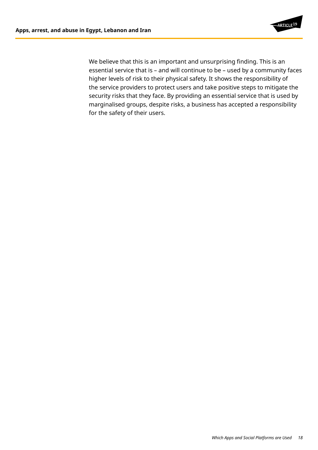

We believe that this is an important and unsurprising finding. This is an essential service that is – and will continue to be – used by a community faces higher levels of risk to their physical safety. It shows the responsibility of the service providers to protect users and take positive steps to mitigate the security risks that they face. By providing an essential service that is used by marginalised groups, despite risks, a business has accepted a responsibility for the safety of their users.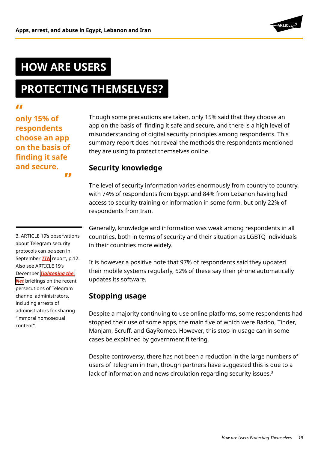# **RTICLE<sup>19</sup>**

# **HOW ARE USERS**

# **PROTECTING THEMSELVES?**

**only 15% of " respondents choose an app on the basis of finding it safe and secure. "**

Though some precautions are taken, only 15% said that they choose an app on the basis of finding it safe and secure, and there is a high level of misunderstanding of digital security principles among respondents. This summary report does not reveal the methods the respondents mentioned they are using to protect themselves online.

# **Security knowledge**

The level of security information varies enormously from country to country, with 74% of respondents from Egypt and 84% from Lebanon having had access to security training or information in some form, but only 22% of respondents from Iran.

3. ARTICLE 19's observations about Telegram security protocols can be seen in September *[TTN](https://www.article19.org/data/files/medialibrary/38874/Tightening-the-Net_3-English-version.pdf)* report, p.12. Also see ARTICLE 19's December *[Tightening the](https://www.article19.org/resources/tightening-net-online-openings-closings-iran/)  [Net](https://www.article19.org/resources/tightening-net-online-openings-closings-iran/)* briefings on the recent persecutions of Telegram channel administrators,

"immoral homosexual

content".

including arrests of administrators for sharing

Generally, knowledge and information was weak among respondents in all countries, both in terms of security and their situation as LGBTQ individuals in their countries more widely.

It is however a positive note that 97% of respondents said they updated their mobile systems regularly, 52% of these say their phone automatically updates its software.

# **Stopping usage**

Despite a majority continuing to use online platforms, some respondents had stopped their use of some apps, the main five of which were Badoo, Tinder, Manjam, Scruff, and GayRomeo. However, this stop in usage can in some cases be explained by government filtering.

Despite controversy, there has not been a reduction in the large numbers of users of Telegram in Iran, though partners have suggested this is due to a lack of information and news circulation regarding security issues.<sup>3</sup>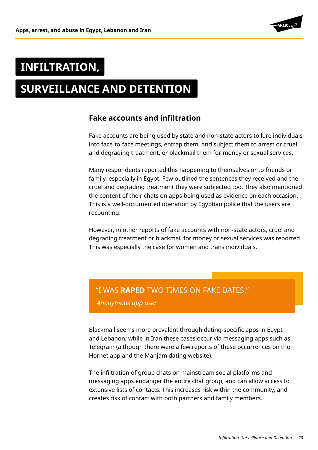

# **INFILTRATION,**

# **SURVEILLANCE AND DETENTION**

#### **Fake accounts and infiltration**

Fake accounts are being used by state and non-state actors to lure individuals into face-to-face meetings, entrap them, and subject them to arrest or cruel and degrading treatment, or blackmail them for money or sexual services.

Many respondents reported this happening to themselves or to friends or family, especially in Egypt. Few outlined the sentences they received and the cruel and degrading treatment they were subjected too. They also mentioned the content of their chats on apps being used as evidence on each occasion. This is a well-documented operation by Egyptian police that the users are recounting.

However, in other reports of fake accounts with non-state actors, cruel and degrading treatment or blackmail for money or sexual services was reported. This was especially the case for women and trans individuals.

#### "I WAS **RAPED** TWO TIMES ON FAKE DATES."

*Anonymous app user*

Blackmail seems more prevalent through dating-specific apps in Egypt and Lebanon, while in Iran these cases occur via messaging apps such as Telegram (although there were a few reports of these occurrences on the Hornet app and the Manjam dating website).

The infiltration of group chats on mainstream social platforms and messaging apps endanger the entire chat group, and can allow access to extensive lists of contacts. This increases risk within the community, and creates risk of contact with both partners and family members.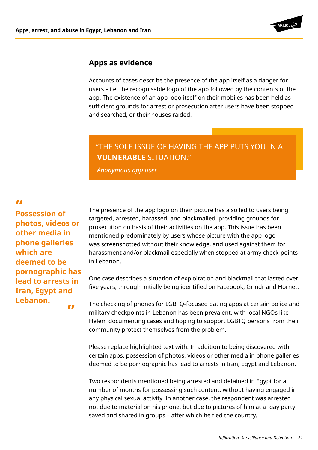

#### **Apps as evidence**

Accounts of cases describe the presence of the app itself as a danger for users – i.e. the recognisable logo of the app followed by the contents of the app. The existence of an app logo itself on their mobiles has been held as sufficient grounds for arrest or prosecution after users have been stopped and searched, or their houses raided.

# "THE SOLE ISSUE OF HAVING THE APP PUTS YOU IN A **VULNERABLE** SITUATION."

*Anonymous app user*

**Possession of " photos, videos or other media in phone galleries which are deemed to be pornographic has lead to arrests in Iran, Egypt and Lebanon.**

**"**

The presence of the app logo on their picture has also led to users being targeted, arrested, harassed, and blackmailed, providing grounds for prosecution on basis of their activities on the app. This issue has been mentioned predominately by users whose picture with the app logo was screenshotted without their knowledge, and used against them for harassment and/or blackmail especially when stopped at army check-points in Lebanon.

One case describes a situation of exploitation and blackmail that lasted over five years, through initially being identified on Facebook, Grindr and Hornet.

The checking of phones for LGBTQ-focused dating apps at certain police and military checkpoints in Lebanon has been prevalent, with local NGOs like Helem documenting cases and hoping to support LGBTQ persons from their community protect themselves from the problem.

Please replace highlighted text with: In addition to being discovered with certain apps, possession of photos, videos or other media in phone galleries deemed to be pornographic has lead to arrests in Iran, Egypt and Lebanon.

Two respondents mentioned being arrested and detained in Egypt for a number of months for possessing such content, without having engaged in any physical sexual activity. In another case, the respondent was arrested not due to material on his phone, but due to pictures of him at a "gay party" saved and shared in groups – after which he fled the country.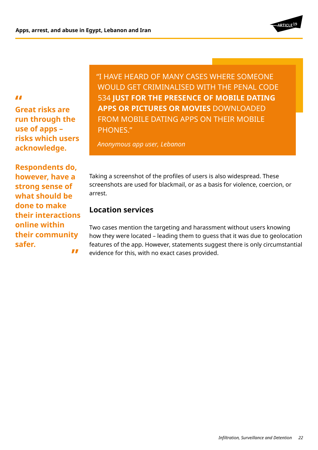

*II*<br>Great risks are **run through the use of apps – risks which users acknowledge.** 

**Respondents do, however, have a strong sense of what should be done to make their interactions online within their community safer.**

**"**

"I HAVE HEARD OF MANY CASES WHERE SOMEONE WOULD GET CRIMINALISED WITH THE PENAL CODE 534 **JUST FOR THE PRESENCE OF MOBILE DATING APPS OR PICTURES OR MOVIES** DOWNLOADED FROM MOBILE DATING APPS ON THEIR MOBILE PHONES."

*Anonymous app user, Lebanon*

Taking a screenshot of the profiles of users is also widespread. These screenshots are used for blackmail, or as a basis for violence, coercion, or arrest.

## **Location services**

Two cases mention the targeting and harassment without users knowing how they were located – leading them to guess that it was due to geolocation features of the app. However, statements suggest there is only circumstantial evidence for this, with no exact cases provided.

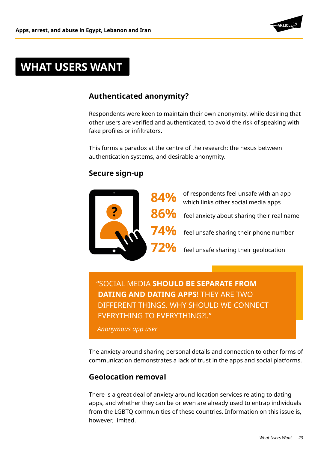

# **WHAT USERS WANT**

# **Authenticated anonymity?**

Respondents were keen to maintain their own anonymity, while desiring that other users are verified and authenticated, to avoid the risk of speaking with fake profiles or infiltrators.

This forms a paradox at the centre of the research: the nexus between authentication systems, and desirable anonymity.

# **Secure sign-up**



"SOCIAL MEDIA **SHOULD BE SEPARATE FROM DATING AND DATING APPS**! THEY ARE TWO DIFFERENT THINGS. WHY SHOULD WE CONNECT EVERYTHING TO EVERYTHING?!."

*Anonymous app user*

The anxiety around sharing personal details and connection to other forms of communication demonstrates a lack of trust in the apps and social platforms.

# **Geolocation removal**

There is a great deal of anxiety around location services relating to dating apps, and whether they can be or even are already used to entrap individuals from the LGBTQ communities of these countries. Information on this issue is, however, limited.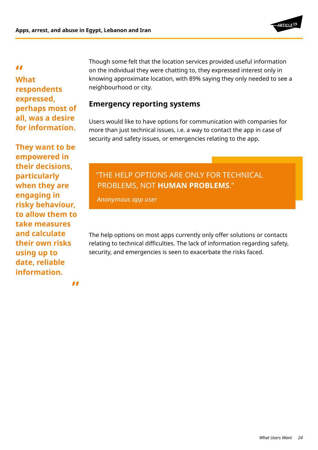

**What " respondents expressed, perhaps most of all, was a desire for information.**

**They want to be empowered in their decisions, particularly when they are engaging in risky behaviour, to allow them to take measures and calculate their own risks using up to date, reliable information.** 

Though some felt that the location services provided useful information on the individual they were chatting to, they expressed interest only in knowing approximate location, with 89% saying they only needed to see a neighbourhood or city.

## **Emergency reporting systems**

Users would like to have options for communication with companies for more than just technical issues, i.e. a way to contact the app in case of security and safety issues, or emergencies relating to the app.

# "THE HELP OPTIONS ARE ONLY FOR TECHNICAL PROBLEMS, NOT **HUMAN PROBLEMS**."

*Anonymous app user*

The help options on most apps currently only offer solutions or contacts relating to technical difficulties. The lack of information regarding safety, security, and emergencies is seen to exacerbate the risks faced.

**"**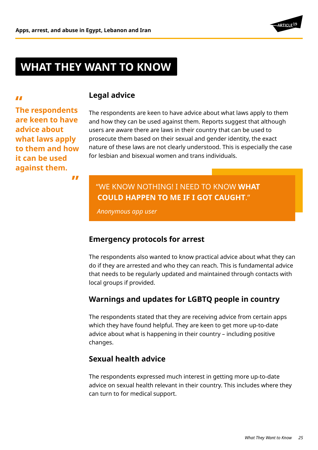

# **WHAT THEY WANT TO KNOW**

**Legal advice**

**The respondents " are keen to have advice about what laws apply to them and how it can be used against them.** 

The respondents are keen to have advice about what laws apply to them and how they can be used against them. Reports suggest that although users are aware there are laws in their country that can be used to prosecute them based on their sexual and gender identity, the exact nature of these laws are not clearly understood. This is especially the case for lesbian and bisexual women and trans individuals.

#### **"**

# "WE KNOW NOTHING! I NEED TO KNOW **WHAT COULD HAPPEN TO ME IF I GOT CAUGHT**."

*Anonymous app user*

#### **Emergency protocols for arrest**

The respondents also wanted to know practical advice about what they can do if they are arrested and who they can reach. This is fundamental advice that needs to be regularly updated and maintained through contacts with local groups if provided.

## **Warnings and updates for LGBTQ people in country**

The respondents stated that they are receiving advice from certain apps which they have found helpful. They are keen to get more up-to-date advice about what is happening in their country – including positive changes.

## **Sexual health advice**

The respondents expressed much interest in getting more up-to-date advice on sexual health relevant in their country. This includes where they can turn to for medical support.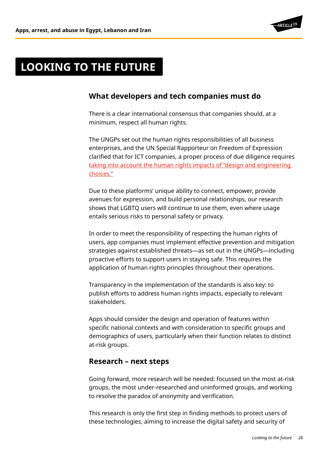

# **LOOKING TO THE FUTURE**

## **What developers and tech companies must do**

There is a clear international consensus that companies should, at a minimum, respect all human rights.

The UNGPs set out the human rights responsibilities of all business enterprises, and the UN Special Rapporteur on Freedom of Expression clarified that for ICT companies, a proper process of due diligence requires [taking into account the human rights impacts of "design and engineering](http://www.ohchr.org/EN/Issues/FreedomOpinion/Pages/Privatesectorinthedigitalage.aspx)  [choices."](http://www.ohchr.org/EN/Issues/FreedomOpinion/Pages/Privatesectorinthedigitalage.aspx)

Due to these platforms' unique ability to connect, empower, provide avenues for expression, and build personal relationships, our research shows that LGBTQ users will continue to use them, even where usage entails serious risks to personal safety or privacy.

In order to meet the responsibility of respecting the human rights of users, app companies must implement effective prevention and mitigation strategies against established threats—as set out in the UNGPs—including proactive efforts to support users in staying safe. This requires the application of human rights principles throughout their operations.

Transparency in the implementation of the standards is also key: to publish efforts to address human rights impacts, especially to relevant stakeholders.

Apps should consider the design and operation of features within specific national contexts and with consideration to specific groups and demographics of users, particularly when their function relates to distinct at-risk groups.

#### **Research – next steps**

Going forward, more research will be needed: focussed on the most at-risk groups, the most under-researched and uninformed groups, and working to resolve the paradox of anonymity and verification.

This research is only the first step in finding methods to protect users of these technologies, aiming to increase the digital safety and security of